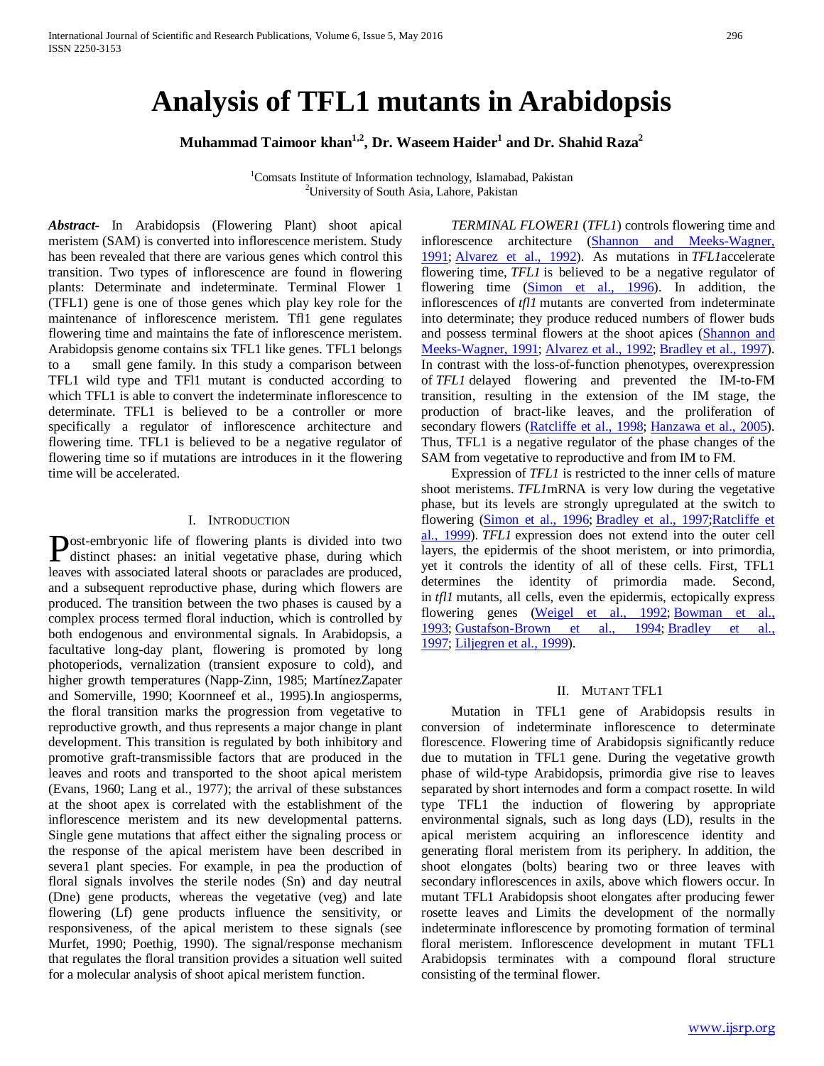# **Analysis of TFL1 mutants in Arabidopsis**

**Muhammad Taimoor khan<sup>1,2</sup>, Dr. Waseem Haider<sup>1</sup> and Dr. Shahid Raza<sup>2</sup>** 

<sup>1</sup> Comsats Institute of Information technology, Islamabad, Pakistan <sup>2</sup> University of South Asia Jabora, Pakistan <sup>2</sup>University of South Asia, Lahore, Pakistan

*Abstract***-** In Arabidopsis (Flowering Plant) shoot apical meristem (SAM) is converted into inflorescence meristem. Study has been revealed that there are various genes which control this transition. Two types of inflorescence are found in flowering plants: Determinate and indeterminate. Terminal Flower 1 (TFL1) gene is one of those genes which play key role for the maintenance of inflorescence meristem. Tfl1 gene regulates flowering time and maintains the fate of inflorescence meristem. Arabidopsis genome contains six TFL1 like genes. TFL1 belongs to a small gene family. In this study a comparison between TFL1 wild type and TFl1 mutant is conducted according to which TFL1 is able to convert the indeterminate inflorescence to determinate. TFL1 is believed to be a controller or more specifically a regulator of inflorescence architecture and flowering time. TFL1 is believed to be a negative regulator of flowering time so if mutations are introduces in it the flowering time will be accelerated.

### I. INTRODUCTION

ost-embryonic life of flowering plants is divided into two **Post-embryonic life of flowering plants is divided into two** distinct phases: an initial vegetative phase, during which leaves with associated lateral shoots or paraclades are produced, and a subsequent reproductive phase, during which flowers are produced. The transition between the two phases is caused by a complex process termed floral induction, which is controlled by both endogenous and environmental signals. In Arabidopsis, a facultative long-day plant, flowering is promoted by long photoperiods, vernalization (transient exposure to cold), and higher growth temperatures (Napp-Zinn, 1985; MartínezZapater and Somerville, 1990; Koornneef et al., 1995).In angiosperms, the floral transition marks the progression from vegetative to reproductive growth, and thus represents a major change in plant development. This transition is regulated by both inhibitory and promotive graft-transmissible factors that are produced in the leaves and roots and transported to the shoot apical meristem (Evans, 1960; Lang et al., 1977); the arrival of these substances at the shoot apex is correlated with the establishment of the inflorescence meristem and its new developmental patterns. Single gene mutations that affect either the signaling process or the response of the apical meristem have been described in severa1 plant species. For example, in pea the production of floral signals involves the sterile nodes (Sn) and day neutral (Dne) gene products, whereas the vegetative (veg) and late flowering (Lf) gene products influence the sensitivity, or responsiveness, of the apical meristem to these signals (see Murfet, 1990; Poethig, 1990). The signal/response mechanism that regulates the floral transition provides a situation well suited for a molecular analysis of shoot apical meristem function.

 *TERMINAL FLOWER1* (*TFL1*) controls flowering time and inflorescence architecture [\(Shannon and Meeks-Wagner,](http://www.plantcell.org/content/23/9/3172.full#ref-40)  [1991;](http://www.plantcell.org/content/23/9/3172.full#ref-40) [Alvarez et al.,](http://www.plantcell.org/content/23/9/3172.full#ref-3) 1992). As mutations in *TFL1*accelerate flowering time, *TFL1* is believed to be a negative regulator of flowering time [\(Simon et al., 1996\)](http://www.plantcell.org/content/23/9/3172.full#ref-41). In addition, the inflorescences of *tfl1* mutants are converted from indeterminate into determinate; they produce reduced numbers of flower buds and possess terminal flowers at the shoot apices [\(Shannon and](http://www.plantcell.org/content/23/9/3172.full#ref-40)  [Meeks-Wagner, 1991;](http://www.plantcell.org/content/23/9/3172.full#ref-40) [Alvarez et al., 1992;](http://www.plantcell.org/content/23/9/3172.full#ref-3) [Bradley et al., 1997\)](http://www.plantcell.org/content/23/9/3172.full#ref-6). In contrast with the loss-of-function phenotypes, overexpression of *TFL1* delayed flowering and prevented the IM-to-FM transition, resulting in the extension of the IM stage, the production of bract-like leaves, and the proliferation of secondary flowers [\(Ratcliffe et al., 1998;](http://www.plantcell.org/content/23/9/3172.full#ref-38) [Hanzawa et al., 2005\)](http://www.plantcell.org/content/23/9/3172.full#ref-15). Thus, TFL1 is a negative regulator of the phase changes of the SAM from vegetative to reproductive and from IM to FM.

Expression of *TFL1* is restricted to the inner cells of mature shoot meristems. *TFL1*mRNA is very low during the vegetative phase, but its levels are strongly upregulated at the switch to flowering [\(Simon et al., 1996;](http://www.plantcell.org/content/19/3/767.full#ref-64) [Bradley et al., 1997](http://www.plantcell.org/content/19/3/767.full#ref-11); Ratcliffe et [al., 1999\)](http://www.plantcell.org/content/19/3/767.full#ref-54). *TFL1* expression does not extend into the outer cell layers, the epidermis of the shoot meristem, or into primordia, yet it controls the identity of all of these cells. First, TFL1 determines the identity of primordia made. Second, in *tfl1* mutants, all cells, even the epidermis, ectopically express flowering genes [\(Weigel et al., 1992;](http://www.plantcell.org/content/19/3/767.full#ref-67) Bowman et al., [1993;](http://www.plantcell.org/content/19/3/767.full#ref-9) [Gustafson-Brown et al., 1994;](http://www.plantcell.org/content/19/3/767.full#ref-21) [Bradley et al.,](http://www.plantcell.org/content/19/3/767.full#ref-11)  [1997;](http://www.plantcell.org/content/19/3/767.full#ref-11) [Liljegren et al., 1999\)](http://www.plantcell.org/content/19/3/767.full#ref-38).

## II. MUTANT TFL1

Mutation in TFL1 gene of Arabidopsis results in conversion of indeterminate inflorescence to determinate florescence. Flowering time of Arabidopsis significantly reduce due to mutation in TFL1 gene. During the vegetative growth phase of wild-type Arabidopsis, primordia give rise to leaves separated by short internodes and form a compact rosette. In wild type TFL1 the induction of flowering by appropriate environmental signals, such as long days (LD), results in the apical meristem acquiring an inflorescence identity and generating floral meristem from its periphery. In addition, the shoot elongates (bolts) bearing two or three leaves with secondary inflorescences in axils, above which flowers occur. In mutant TFL1 Arabidopsis shoot elongates after producing fewer rosette leaves and Limits the development of the normally indeterminate inflorescence by promoting formation of terminal floral meristem. Inflorescence development in mutant TFL1 Arabidopsis terminates with a compound floral structure consisting of the terminal flower.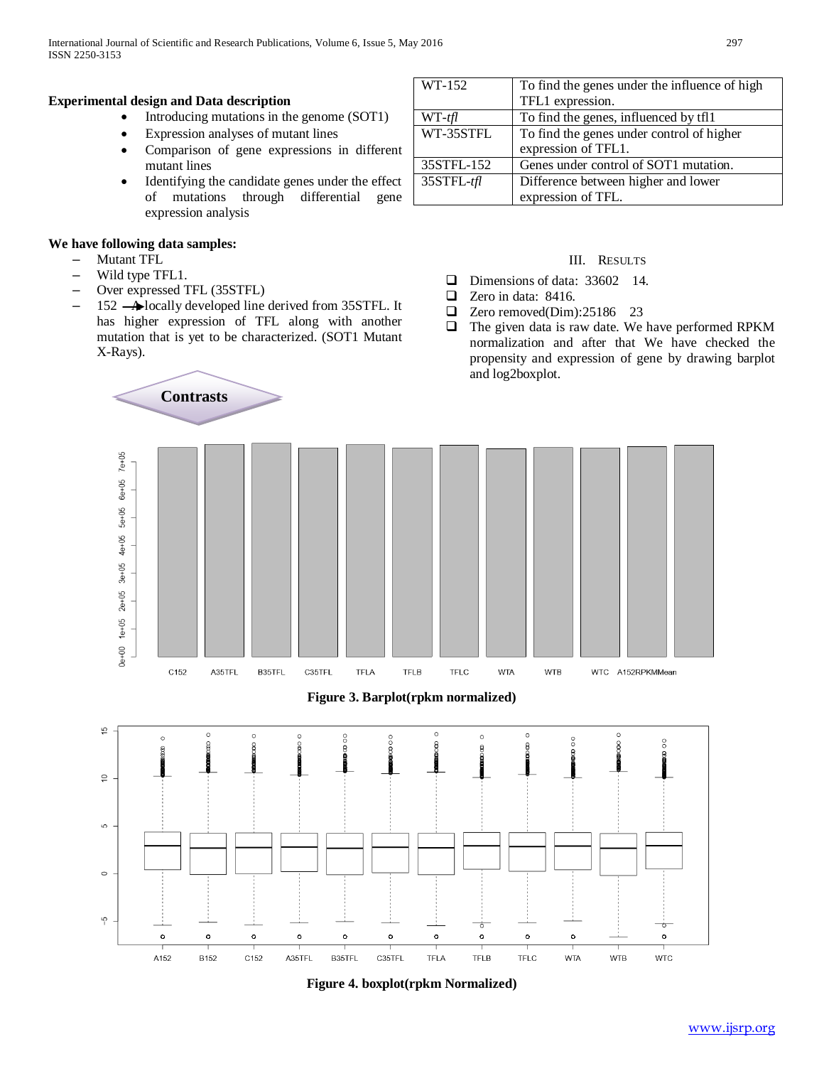# **Experimental design and Data description**

- Introducing mutations in the genome (SOT1)
- Expression analyses of mutant lines
- Comparison of gene expressions in different mutant lines
- Identifying the candidate genes under the effect of mutations through differential gene expression analysis

# **We have following data samples:**

- Mutant TFL
- Wild type TFL1.
- Over expressed TFL (35STFL)

**Contrasts**

 $-$  152  $\rightarrow$  locally developed line derived from 35STFL. It has higher expression of TFL along with another mutation that is yet to be characterized. (SOT1 Mutant X-Rays).

| WT-152     | To find the genes under the influence of high |
|------------|-----------------------------------------------|
|            | TFL1 expression.                              |
| $WT-ffl$   | To find the genes, influenced by tfl1         |
| WT-35STFL  | To find the genes under control of higher     |
|            | expression of TFL1.                           |
| 35STFL-152 | Genes under control of SOT1 mutation.         |
| 35STFL-tfl | Difference between higher and lower           |
|            | expression of TFL.                            |

# III. RESULTS

- $\Box$  Dimensions of data: 33602 14.
- Zero in data: 8416.
- $\Box$  Zero removed(Dim):25186 23
- $\Box$  The given data is raw date. We have performed RPKM normalization and after that We have checked the propensity and expression of gene by drawing barplot and log2boxplot.







**Figure 4. boxplot(rpkm Normalized)**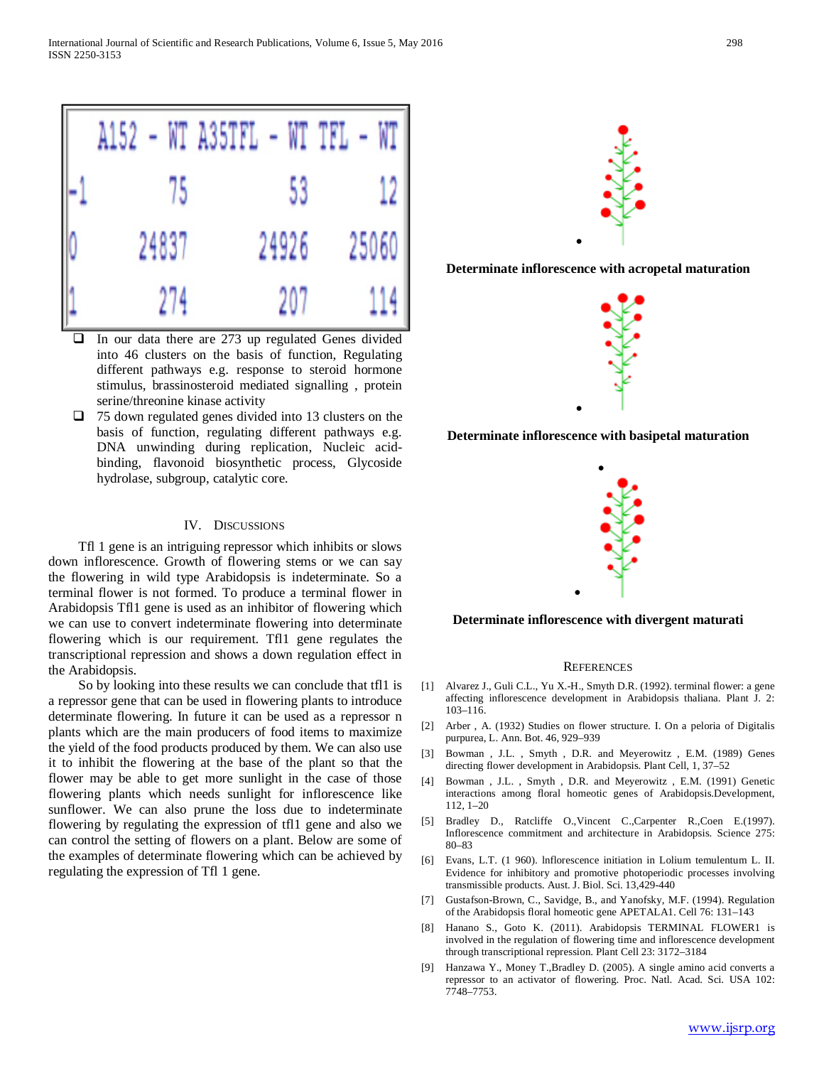International Journal of Scientific and Research Publications, Volume 6, Issue 5, May 2016 298 ISSN 2250-3153



- In our data there are 273 up regulated Genes divided into 46 clusters on the basis of function, Regulating different pathways e.g. response to steroid hormone stimulus, brassinosteroid mediated signalling , protein serine/threonine kinase activity
- $\Box$  75 down regulated genes divided into 13 clusters on the basis of function, regulating different pathways e.g. DNA unwinding during replication, Nucleic acidbinding, flavonoid biosynthetic process, Glycoside hydrolase, subgroup, catalytic core.

#### IV. DISCUSSIONS

Tfl 1 gene is an intriguing repressor which inhibits or slows down inflorescence. Growth of flowering stems or we can say the flowering in wild type Arabidopsis is indeterminate. So a terminal flower is not formed. To produce a terminal flower in Arabidopsis Tfl1 gene is used as an inhibitor of flowering which we can use to convert indeterminate flowering into determinate flowering which is our requirement. Tfl1 gene regulates the transcriptional repression and shows a down regulation effect in the Arabidopsis.

So by looking into these results we can conclude that tfl1 is a repressor gene that can be used in flowering plants to introduce determinate flowering. In future it can be used as a repressor n plants which are the main producers of food items to maximize the yield of the food products produced by them. We can also use it to inhibit the flowering at the base of the plant so that the flower may be able to get more sunlight in the case of those flowering plants which needs sunlight for inflorescence like sunflower. We can also prune the loss due to indeterminate flowering by regulating the expression of tfl1 gene and also we can control the setting of flowers on a plant. Below are some of the examples of determinate flowering which can be achieved by regulating the expression of Tfl 1 gene.



**Determinate inflorescence with acropetal maturation**



**Determinate inflorescence with basipetal maturation**

•



**Determinate inflorescence with divergent maturati**

•

#### **REFERENCES**

- [1] Alvarez J., Guli C.L., Yu X.-H., Smyth D.R. (1992). terminal flower: a gene affecting inflorescence development in Arabidopsis thaliana. Plant J. 2: 103–116.
- [2] Arber , A. (1932) Studies on flower structure. I. On a peloria of Digitalis purpurea, L. Ann. Bot. 46, 929–939
- [3] Bowman , J.L. , Smyth , D.R. and Meyerowitz , E.M. (1989) Genes directing flower development in Arabidopsis. Plant Cell, 1, 37–52
- [4] Bowman, J.L., Smyth, D.R. and Meyerowitz, E.M. (1991) Genetic interactions among floral homeotic genes of Arabidopsis.Development, 112, 1–20
- [5] Bradley D., Ratcliffe O.,Vincent C.,Carpenter R.,Coen E.(1997). Inflorescence commitment and architecture in Arabidopsis. Science 275: 80–83
- [6] Evans, L.T. (1 960). lnflorescence initiation in Lolium temulentum L. II. Evidence for inhibitory and promotive photoperiodic processes involving transmissible products. Aust. J. Biol. Sci. 13,429-440
- [7] Gustafson-Brown, C., Savidge, B., and Yanofsky, M.F. (1994). Regulation of the Arabidopsis floral homeotic gene APETALA1. Cell 76: 131–143
- [8] Hanano S., Goto K. (2011). Arabidopsis TERMINAL FLOWER1 is involved in the regulation of flowering time and inflorescence development through transcriptional repression. Plant Cell 23: 3172–3184
- [9] Hanzawa Y., Money T.,Bradley D. (2005). A single amino acid converts a repressor to an activator of flowering. Proc. Natl. Acad. Sci. USA 102: 7748–7753.